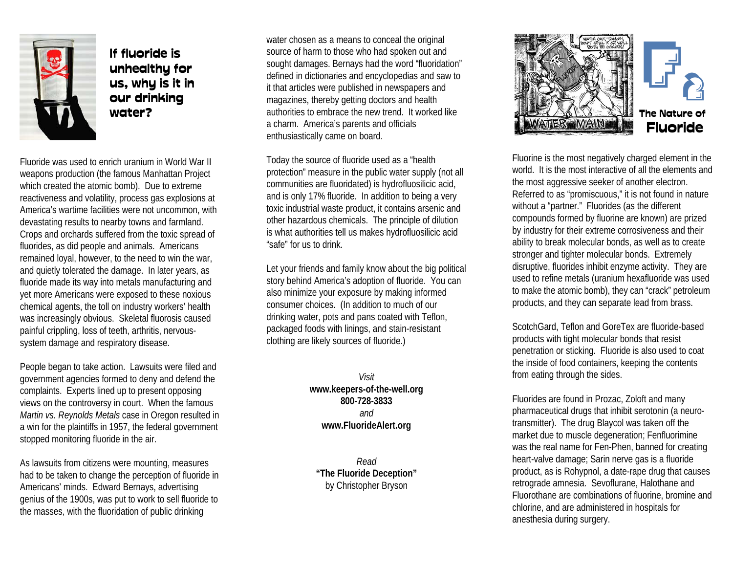

If fluoride isunhealthy for us, why is it in our drinking water?

Fluoride was used to enrich uranium in World War IIweapons production (the famous Manhattan Project which created the atomic bomb). Due to extreme reactiveness and volatility, process gas explosions at America's wartime facilities were not uncommon, with devastating results to nearby towns and farmland. Crops and orchards suffered from the toxic spread of fluorides, as did people and animals. Americans remained loyal, however, to the need to win the war, and quietly tolerated the damage. In later years, as fluoride made its way into metals manufacturing and yet more Americans were exposed to these noxious chemical agents, the toll on industry workers' health was increasingly obvious. Skeletal fluorosis caused painful crippling, loss of teeth, arthritis, nervoussystem damage and respiratory disease.

People began to take action. Lawsuits were filed and government agencies formed to deny and defend the complaints. Experts lined up to present opposing views on the controversy in court. When the famous *Martin vs. Reynolds Metals* case in Oregon resulted in a win for the plaintiffs in 1957, the federal government stopped monitoring fluoride in the air.

As lawsuits from citizens were mounting, measures had to be taken to change the perception of fluoride in Americans' minds. Edward Bernays, advertising genius of the 1900s, was put to work to sell fluoride to the masses, with the fluoridation of public drinking

water chosen as a means to conceal the original source of harm to those who had spoken out and sought damages. Bernays had the word "fluoridation" defined in dictionaries and encyclopedias and saw to it that articles were published in newspapers and magazines, thereby getting doctors and health authorities to embrace the new trend. It worked likea charm. America's parents and officials enthusiastically came on board.

Today the source of fluoride used as a "health protection" measure in the public water supply (not all communities are fluoridated) is hydrofluosilicic acid, and is only 17% fluoride. In addition to being a very toxic industrial waste product, it contains arsenic and other hazardous chemicals. The principle of dilution is what authorities tell us makes hydrofluosilicic acid "safe" for us to drink.

Let your friends and family know about the big political story behind America's adoption of fluoride. You can also minimize your exposure by making informed consumer choices. (In addition to much of our drinking water, pots and pans coated with Teflon, packaged foods with linings, and stain-resistant clothing are likely sources of fluoride.)

> *Visit***www.keepers-of-the-well.org 800-728-3833***and***www.FluorideAlert.org**

*Read***"The Fluoride Deception"** by Christopher Bryson



Fluorine is the most negatively charged element in the world. It is the most interactive of all the elements andthe most aggressive seeker of another electron. Referred to as "promiscuous," it is not found in nature without a "partner." Fluorides (as the different compounds formed by fluorine are known) are prized by industry for their extreme corrosiveness and their ability to break molecular bonds, as well as to create stronger and tighter molecular bonds. Extremely disruptive, fluorides inhibit enzyme activity. They are used to refine metals (uranium hexafluoride was used to make the atomic bomb), they can "crack" petroleum products, and they can separate lead from brass.

ScotchGard, Teflon and GoreTex are fluoride-based products with tight molecular bonds that resist penetration or sticking. Fluoride is also used to coat the inside of food containers, keeping the contents from eating through the sides.

Fluorides are found in Prozac, Zoloft and many pharmaceutical drugs that inhibit serotonin (a neurotransmitter). The drug Blaycol was taken off the market due to muscle degeneration; Fenfluorimine was the real name for Fen-Phen, banned for creating heart-valve damage; Sarin nerve gas is a fluoride product, as is Rohypnol, a date-rape drug that causes retrograde amnesia. Sevoflurane, Halothane and Fluorothane are combinations of fluorine, bromine and chlorine, and are administered in hospitals for anesthesia during surgery.